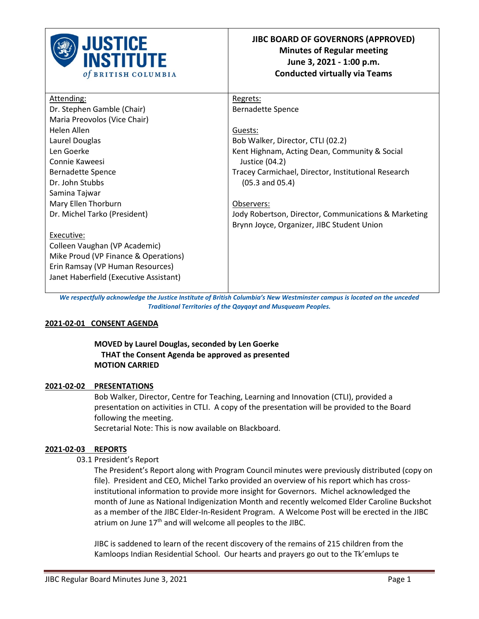

| Attending:                             | Regrets:                                             |
|----------------------------------------|------------------------------------------------------|
| Dr. Stephen Gamble (Chair)             | <b>Bernadette Spence</b>                             |
| Maria Preovolos (Vice Chair)           |                                                      |
| Helen Allen                            | Guests:                                              |
| Laurel Douglas                         | Bob Walker, Director, CTLI (02.2)                    |
| Len Goerke                             | Kent Highnam, Acting Dean, Community & Social        |
| Connie Kaweesi                         | Justice $(04.2)$                                     |
| Bernadette Spence                      | Tracey Carmichael, Director, Institutional Research  |
| Dr. John Stubbs                        | $(05.3 \text{ and } 05.4)$                           |
| Samina Tajwar                          |                                                      |
| Mary Ellen Thorburn                    | Observers:                                           |
| Dr. Michel Tarko (President)           | Jody Robertson, Director, Communications & Marketing |
|                                        | Brynn Joyce, Organizer, JIBC Student Union           |
| Executive:                             |                                                      |
| Colleen Vaughan (VP Academic)          |                                                      |
| Mike Proud (VP Finance & Operations)   |                                                      |
| Erin Ramsay (VP Human Resources)       |                                                      |
| Janet Haberfield (Executive Assistant) |                                                      |
|                                        |                                                      |

*We respectfully acknowledge the Justice Institute of British Columbia's New Westminster campus is located on the unceded Traditional Territories of the Qayqayt and Musqueam Peoples.*

### **2021-02-01 CONSENT AGENDA**

### **MOVED by Laurel Douglas, seconded by Len Goerke THAT the Consent Agenda be approved as presented MOTION CARRIED**

### **2021-02-02 PRESENTATIONS**

Bob Walker, Director, Centre for Teaching, Learning and Innovation (CTLI), provided a presentation on activities in CTLI. A copy of the presentation will be provided to the Board following the meeting.

Secretarial Note: This is now available on Blackboard.

#### **2021-02-03 REPORTS**

### 03.1 President's Report

The President's Report along with Program Council minutes were previously distributed (copy on file). President and CEO, Michel Tarko provided an overview of his report which has crossinstitutional information to provide more insight for Governors. Michel acknowledged the month of June as National Indigenization Month and recently welcomed Elder Caroline Buckshot as a member of the JIBC Elder-In-Resident Program. A Welcome Post will be erected in the JIBC atrium on June  $17<sup>th</sup>$  and will welcome all peoples to the JIBC.

JIBC is saddened to learn of the recent discovery of the remains of 215 children from the Kamloops Indian Residential School. Our hearts and prayers go out to the Tk'emlups te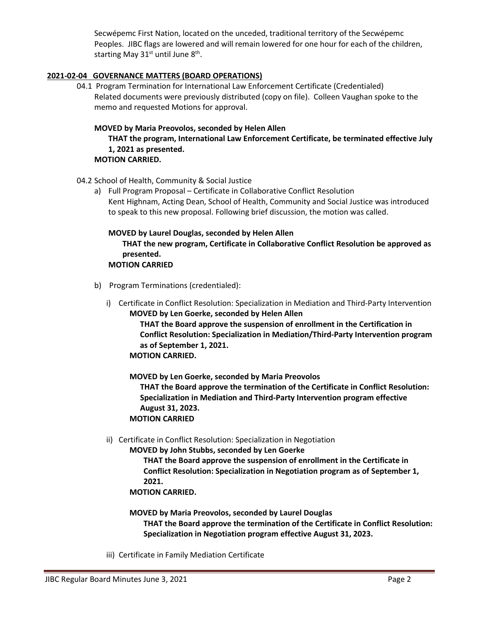Secwépemc First Nation, located on the unceded, traditional territory of the Secwépemc Peoples. JIBC flags are lowered and will remain lowered for one hour for each of the children, starting May  $31<sup>st</sup>$  until June  $8<sup>th</sup>$ .

# **2021-02-04 GOVERNANCE MATTERS (BOARD OPERATIONS)**

04.1 Program Termination for International Law Enforcement Certificate (Credentialed) Related documents were previously distributed (copy on file). Colleen Vaughan spoke to the memo and requested Motions for approval.

### **MOVED by Maria Preovolos, seconded by Helen Allen**

**THAT the program, International Law Enforcement Certificate, be terminated effective July 1, 2021 as presented.**

### **MOTION CARRIED.**

04.2 School of Health, Community & Social Justice

a) Full Program Proposal – Certificate in Collaborative Conflict Resolution Kent Highnam, Acting Dean, School of Health, Community and Social Justice was introduced to speak to this new proposal. Following brief discussion, the motion was called.

### **MOVED by Laurel Douglas, seconded by Helen Allen THAT the new program, Certificate in Collaborative Conflict Resolution be approved as presented. MOTION CARRIED**

- b) Program Terminations (credentialed):
	- i) Certificate in Conflict Resolution: Specialization in Mediation and Third-Party Intervention **MOVED by Len Goerke, seconded by Helen Allen THAT the Board approve the suspension of enrollment in the Certification in Conflict Resolution: Specialization in Mediation/Third-Party Intervention program as of September 1, 2021. MOTION CARRIED.**

**MOVED by Len Goerke, seconded by Maria Preovolos THAT the Board approve the termination of the Certificate in Conflict Resolution: Specialization in Mediation and Third-Party Intervention program effective August 31, 2023. MOTION CARRIED**

ii) Certificate in Conflict Resolution: Specialization in Negotiation

**MOVED by John Stubbs, seconded by Len Goerke**

**THAT the Board approve the suspension of enrollment in the Certificate in Conflict Resolution: Specialization in Negotiation program as of September 1, 2021.**

### **MOTION CARRIED.**

**MOVED by Maria Preovolos, seconded by Laurel Douglas THAT the Board approve the termination of the Certificate in Conflict Resolution: Specialization in Negotiation program effective August 31, 2023.**

iii) Certificate in Family Mediation Certificate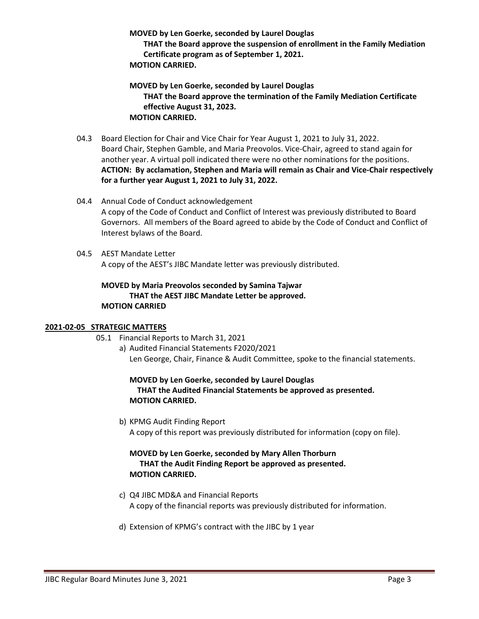**MOVED by Len Goerke, seconded by Laurel Douglas**

**THAT the Board approve the suspension of enrollment in the Family Mediation Certificate program as of September 1, 2021. MOTION CARRIED.**

**MOVED by Len Goerke, seconded by Laurel Douglas THAT the Board approve the termination of the Family Mediation Certificate effective August 31, 2023. MOTION CARRIED.**

- 04.3 Board Election for Chair and Vice Chair for Year August 1, 2021 to July 31, 2022. Board Chair, Stephen Gamble, and Maria Preovolos. Vice-Chair, agreed to stand again for another year. A virtual poll indicated there were no other nominations for the positions. **ACTION: By acclamation, Stephen and Maria will remain as Chair and Vice-Chair respectively for a further year August 1, 2021 to July 31, 2022.**
- 04.4 Annual Code of Conduct acknowledgement A copy of the Code of Conduct and Conflict of Interest was previously distributed to Board Governors. All members of the Board agreed to abide by the Code of Conduct and Conflict of Interest bylaws of the Board.
- 04.5 AEST Mandate Letter A copy of the AEST's JIBC Mandate letter was previously distributed.

# **MOVED by Maria Preovolos seconded by Samina Tajwar THAT the AEST JIBC Mandate Letter be approved. MOTION CARRIED**

# **2021-02-05 STRATEGIC MATTERS**

- 05.1 Financial Reports to March 31, 2021
	- a) Audited Financial Statements F2020/2021 Len George, Chair, Finance & Audit Committee, spoke to the financial statements.

# **MOVED by Len Goerke, seconded by Laurel Douglas THAT the Audited Financial Statements be approved as presented. MOTION CARRIED.**

b) KPMG Audit Finding Report A copy of this report was previously distributed for information (copy on file).

# **MOVED by Len Goerke, seconded by Mary Allen Thorburn THAT the Audit Finding Report be approved as presented. MOTION CARRIED.**

- c) Q4 JIBC MD&A and Financial Reports A copy of the financial reports was previously distributed for information.
- d) Extension of KPMG's contract with the JIBC by 1 year